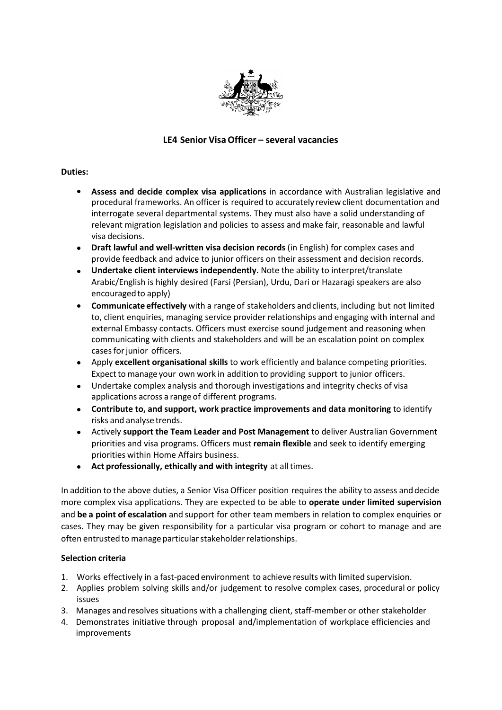

# **LE4 Senior VisaOfficer – several vacancies**

### **Duties:**

- **Assess and decide complex visa applications** in accordance with Australian legislative and procedural frameworks. An officer is required to accurately review client documentation and interrogate several departmental systems. They must also have a solid understanding of relevant migration legislation and policies to assess and make fair, reasonable and lawful visa decisions.
- **Draft lawful and well-written visa decision records** (in English) for complex cases and provide feedback and advice to junior officers on their assessment and decision records. •
- **Undertake client interviews independently**. Note the ability to interpret/translate Arabic/English is highly desired (Farsi (Persian), Urdu, Dari or Hazaragi speakers are also encouraged to apply)
- **Communicate effectively** with a range of stakeholders andclients, including but not limited to, client enquiries, managing service provider relationships and engaging with internal and external Embassy contacts. Officers must exercise sound judgement and reasoning when communicating with clients and stakeholders and will be an escalation point on complex cases for junior officers. •
- Apply **excellent organisational skills** to work efficiently and balance competing priorities. Expect to manage your own work in addition to providing support to junior officers. •
- Undertake complex analysis and thorough investigations and integrity checks of visa applications across a range of different programs. •
- **Contribute to, and support, work practice improvements and data monitoring** to identify risks and analyse trends. •
- Actively **support the Team Leader and Post Management** to deliver Australian Government priorities and visa programs. Officers must **remain flexible** and seek to identify emerging priorities within Home Affairs business. •
- **Act professionally, ethically and with integrity** at alltimes. •

In addition to the above duties, a Senior Visa Officer position requires the ability to assess and decide more complex visa applications. They are expected to be able to **operate under limited supervision** and **be a point of escalation** and support for other team members in relation to complex enquiries or cases. They may be given responsibility for a particular visa program or cohort to manage and are often entrusted to manage particular stakeholder relationships.

# **Selection criteria**

- 1. Works effectively in a fast-paced environment to achieve results with limited supervision.
- 2. Applies problem solving skills and/or judgement to resolve complex cases, procedural or policy issues
- Manages andresolves situations with a challenging client, staff-member or other stakeholder 3.
- Demonstrates initiative through proposal and/implementation of workplace efficiencies and 4.improvements